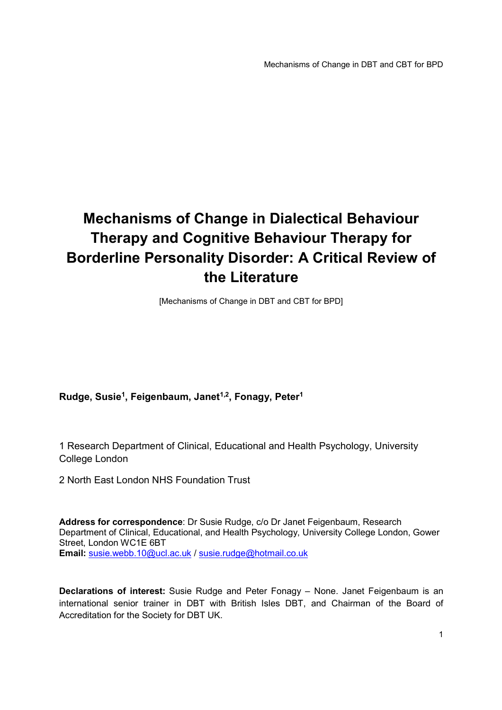# **Mechanisms of Change in Dialectical Behaviour Therapy and Cognitive Behaviour Therapy for Borderline Personality Disorder: A Critical Review of the Literature**

[Mechanisms of Change in DBT and CBT for BPD]

## **Rudge, Susie<sup>1</sup> , Feigenbaum, Janet1,2, Fonagy, Peter<sup>1</sup>**

1 Research Department of Clinical, Educational and Health Psychology, University College London

2 North East London NHS Foundation Trust

**Address for correspondence**: Dr Susie Rudge, c/o Dr Janet Feigenbaum, Research Department of Clinical, Educational, and Health Psychology, University College London, Gower Street, London WC1E 6BT **Email:** susie.webb.10@ucl.ac.uk / susie.rudge@hotmail.co.uk

**Declarations of interest:** Susie Rudge and Peter Fonagy – None. Janet Feigenbaum is an international senior trainer in DBT with British Isles DBT, and Chairman of the Board of Accreditation for the Society for DBT UK.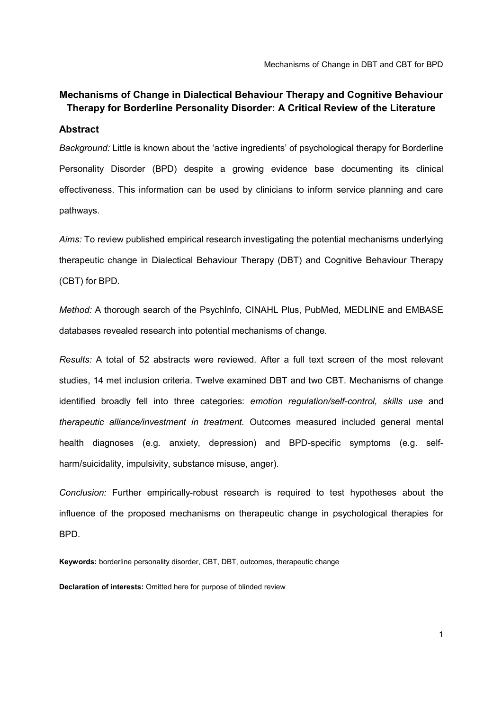Mechanisms of Change in DBT and CBT for BPD

# **Mechanisms of Change in Dialectical Behaviour Therapy and Cognitive Behaviour Therapy for Borderline Personality Disorder: A Critical Review of the Literature**

#### **Abstract**

*Background:* Little is known about the 'active ingredients' of psychological therapy for Borderline Personality Disorder (BPD) despite a growing evidence base documenting its clinical effectiveness. This information can be used by clinicians to inform service planning and care pathways.

*Aims:* To review published empirical research investigating the potential mechanisms underlying therapeutic change in Dialectical Behaviour Therapy (DBT) and Cognitive Behaviour Therapy (CBT) for BPD.

*Method:* A thorough search of the PsychInfo, CINAHL Plus, PubMed, MEDLINE and EMBASE databases revealed research into potential mechanisms of change.

*Results:* A total of 52 abstracts were reviewed. After a full text screen of the most relevant studies, 14 met inclusion criteria. Twelve examined DBT and two CBT. Mechanisms of change identified broadly fell into three categories: *emotion regulation/self-control, skills use* and *therapeutic alliance/investment in treatment.* Outcomes measured included general mental health diagnoses (e.g. anxiety, depression) and BPD-specific symptoms (e.g. selfharm/suicidality, impulsivity, substance misuse, anger).

*Conclusion:* Further empirically-robust research is required to test hypotheses about the influence of the proposed mechanisms on therapeutic change in psychological therapies for BPD.

**Keywords:** borderline personality disorder, CBT, DBT, outcomes, therapeutic change

**Declaration of interests:** Omitted here for purpose of blinded review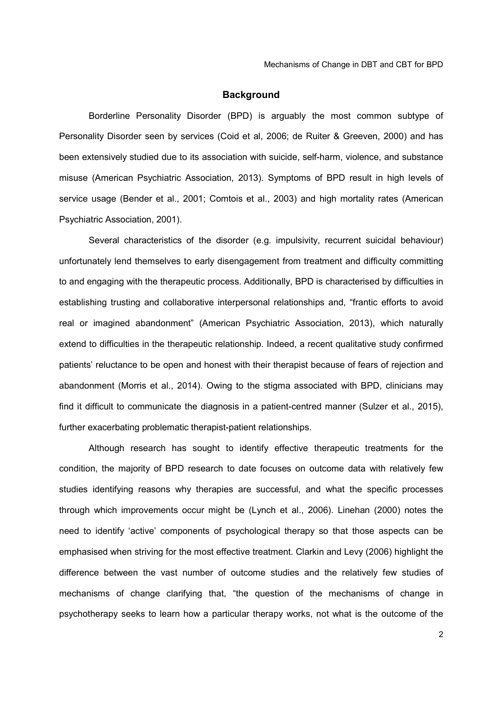#### **Background**

Borderline Personality Disorder (BPD) is arguably the most common subtype of Personality Disorder seen by services (Coid et al, 2006; de Ruiter & Greeven, 2000) and has been extensively studied due to its association with suicide, self-harm, violence, and substance misuse (American Psychiatric Association, 2013). Symptoms of BPD result in high levels of service usage (Bender et al., 2001; Comtois et al., 2003) and high mortality rates (American Psychiatric Association, 2001).

Several characteristics of the disorder (e.g. impulsivity, recurrent suicidal behaviour) unfortunately lend themselves to early disengagement from treatment and difficulty committing to and engaging with the therapeutic process. Additionally, BPD is characterised by difficulties in establishing trusting and collaborative interpersonal relationships and, "frantic efforts to avoid real or imagined abandonment" (American Psychiatric Association, 2013), which naturally extend to difficulties in the therapeutic relationship. Indeed, a recent qualitative study confirmed patients' reluctance to be open and honest with their therapist because of fears of rejection and abandonment (Morris et al., 2014). Owing to the stigma associated with BPD, clinicians may find it difficult to communicate the diagnosis in a patient-centred manner (Sulzer et al., 2015), further exacerbating problematic therapist-patient relationships.

Although research has sought to identify effective therapeutic treatments for the condition, the majority of BPD research to date focuses on outcome data with relatively few studies identifying reasons why therapies are successful, and what the specific processes through which improvements occur might be (Lynch et al., 2006). Linehan (2000) notes the need to identify 'active' components of psychological therapy so that those aspects can be emphasised when striving for the most effective treatment. Clarkin and Levy (2006) highlight the difference between the vast number of outcome studies and the relatively few studies of mechanisms of change clarifying that, "the question of the mechanisms of change in psychotherapy seeks to learn how a particular therapy works, not what is the outcome of the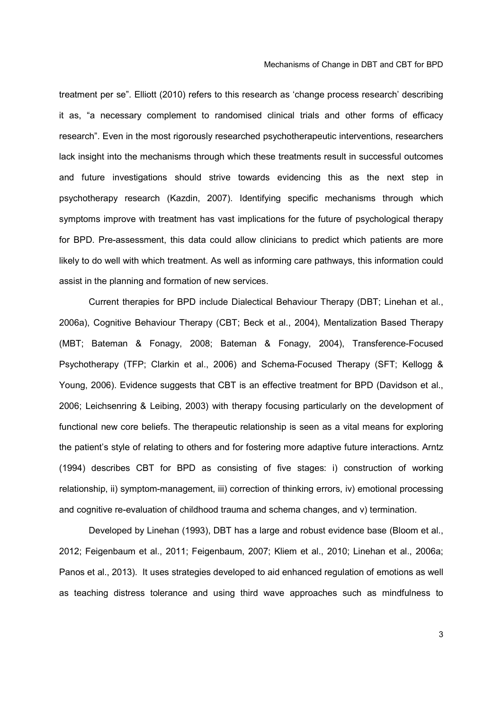treatment per se". Elliott (2010) refers to this research as 'change process research' describing it as, "a necessary complement to randomised clinical trials and other forms of efficacy research". Even in the most rigorously researched psychotherapeutic interventions, researchers lack insight into the mechanisms through which these treatments result in successful outcomes and future investigations should strive towards evidencing this as the next step in psychotherapy research (Kazdin, 2007). Identifying specific mechanisms through which symptoms improve with treatment has vast implications for the future of psychological therapy for BPD. Pre-assessment, this data could allow clinicians to predict which patients are more likely to do well with which treatment. As well as informing care pathways, this information could assist in the planning and formation of new services.

Current therapies for BPD include Dialectical Behaviour Therapy (DBT; Linehan et al., 2006a), Cognitive Behaviour Therapy (CBT; Beck et al., 2004), Mentalization Based Therapy (MBT; Bateman & Fonagy, 2008; Bateman & Fonagy, 2004), Transference-Focused Psychotherapy (TFP; Clarkin et al., 2006) and Schema-Focused Therapy (SFT; Kellogg & Young, 2006). Evidence suggests that CBT is an effective treatment for BPD (Davidson et al., 2006; Leichsenring & Leibing, 2003) with therapy focusing particularly on the development of functional new core beliefs. The therapeutic relationship is seen as a vital means for exploring the patient's style of relating to others and for fostering more adaptive future interactions. Arntz (1994) describes CBT for BPD as consisting of five stages: i) construction of working relationship, ii) symptom-management, iii) correction of thinking errors, iv) emotional processing and cognitive re-evaluation of childhood trauma and schema changes, and v) termination.

Developed by Linehan (1993), DBT has a large and robust evidence base (Bloom et al., 2012; Feigenbaum et al., 2011; Feigenbaum, 2007; Kliem et al., 2010; Linehan et al., 2006a; Panos et al., 2013). It uses strategies developed to aid enhanced regulation of emotions as well as teaching distress tolerance and using third wave approaches such as mindfulness to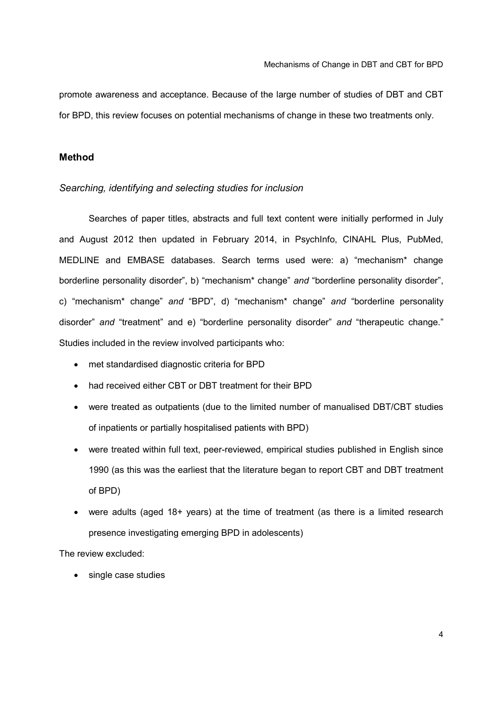promote awareness and acceptance. Because of the large number of studies of DBT and CBT for BPD, this review focuses on potential mechanisms of change in these two treatments only.

### **Method**

#### *Searching, identifying and selecting studies for inclusion*

Searches of paper titles, abstracts and full text content were initially performed in July and August 2012 then updated in February 2014, in PsychInfo, CINAHL Plus, PubMed, MEDLINE and EMBASE databases. Search terms used were: a) "mechanism\* change borderline personality disorder", b) "mechanism\* change" *and* "borderline personality disorder", c) "mechanism\* change" *and* "BPD", d) "mechanism\* change" *and* "borderline personality disorder" *and* "treatment" and e) "borderline personality disorder" *and* "therapeutic change." Studies included in the review involved participants who:

- met standardised diagnostic criteria for BPD
- had received either CBT or DBT treatment for their BPD
- were treated as outpatients (due to the limited number of manualised DBT/CBT studies of inpatients or partially hospitalised patients with BPD)
- were treated within full text, peer-reviewed, empirical studies published in English since 1990 (as this was the earliest that the literature began to report CBT and DBT treatment of BPD)
- were adults (aged 18+ years) at the time of treatment (as there is a limited research presence investigating emerging BPD in adolescents)

The review excluded:

• single case studies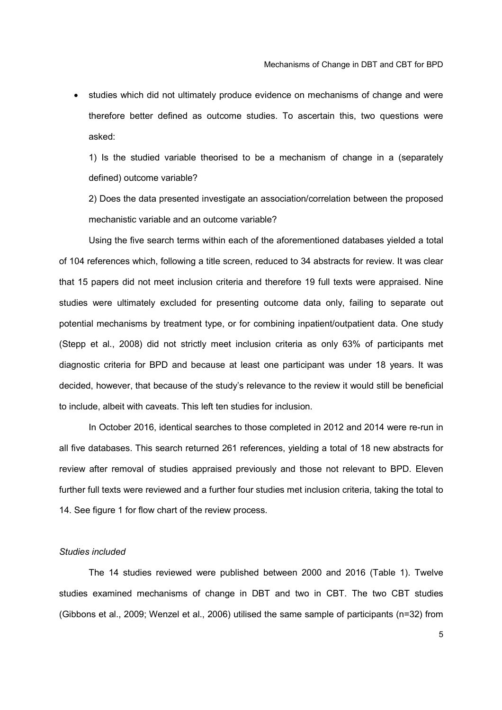studies which did not ultimately produce evidence on mechanisms of change and were therefore better defined as outcome studies. To ascertain this, two questions were asked:

1) Is the studied variable theorised to be a mechanism of change in a (separately defined) outcome variable?

2) Does the data presented investigate an association/correlation between the proposed mechanistic variable and an outcome variable?

Using the five search terms within each of the aforementioned databases yielded a total of 104 references which, following a title screen, reduced to 34 abstracts for review. It was clear that 15 papers did not meet inclusion criteria and therefore 19 full texts were appraised. Nine studies were ultimately excluded for presenting outcome data only, failing to separate out potential mechanisms by treatment type, or for combining inpatient/outpatient data. One study (Stepp et al., 2008) did not strictly meet inclusion criteria as only 63% of participants met diagnostic criteria for BPD and because at least one participant was under 18 years. It was decided, however, that because of the study's relevance to the review it would still be beneficial to include, albeit with caveats. This left ten studies for inclusion.

In October 2016, identical searches to those completed in 2012 and 2014 were re-run in all five databases. This search returned 261 references, yielding a total of 18 new abstracts for review after removal of studies appraised previously and those not relevant to BPD. Eleven further full texts were reviewed and a further four studies met inclusion criteria, taking the total to 14. See figure 1 for flow chart of the review process.

#### *Studies included*

The 14 studies reviewed were published between 2000 and 2016 (Table 1). Twelve studies examined mechanisms of change in DBT and two in CBT. The two CBT studies (Gibbons et al., 2009; Wenzel et al., 2006) utilised the same sample of participants (n=32) from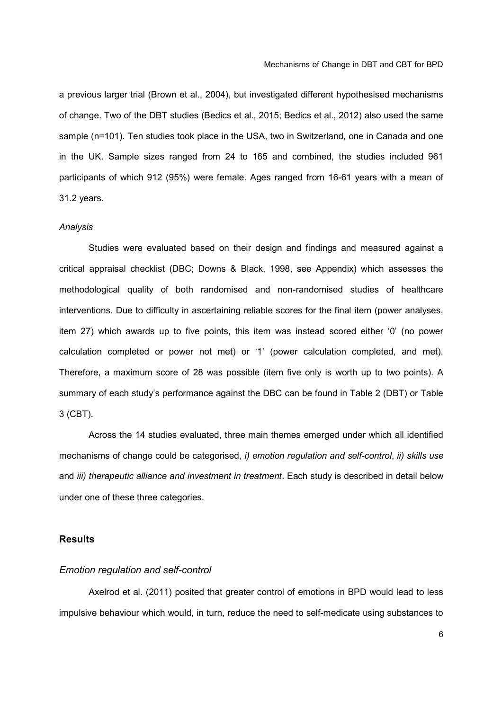a previous larger trial (Brown et al., 2004), but investigated different hypothesised mechanisms of change. Two of the DBT studies (Bedics et al., 2015; Bedics et al., 2012) also used the same sample (n=101). Ten studies took place in the USA, two in Switzerland, one in Canada and one in the UK. Sample sizes ranged from 24 to 165 and combined, the studies included 961 participants of which 912 (95%) were female. Ages ranged from 16-61 years with a mean of 31.2 years.

#### *Analysis*

Studies were evaluated based on their design and findings and measured against a critical appraisal checklist (DBC; Downs & Black, 1998, see Appendix) which assesses the methodological quality of both randomised and non-randomised studies of healthcare interventions. Due to difficulty in ascertaining reliable scores for the final item (power analyses, item 27) which awards up to five points, this item was instead scored either '0' (no power calculation completed or power not met) or '1' (power calculation completed, and met). Therefore, a maximum score of 28 was possible (item five only is worth up to two points). A summary of each study's performance against the DBC can be found in Table 2 (DBT) or Table 3 (CBT).

Across the 14 studies evaluated, three main themes emerged under which all identified mechanisms of change could be categorised, *i) emotion regulation and self-control*, *ii) skills use* and *iii) therapeutic alliance and investment in treatment*. Each study is described in detail below under one of these three categories.

#### **Results**

#### *Emotion regulation and self-control*

Axelrod et al. (2011) posited that greater control of emotions in BPD would lead to less impulsive behaviour which would, in turn, reduce the need to self-medicate using substances to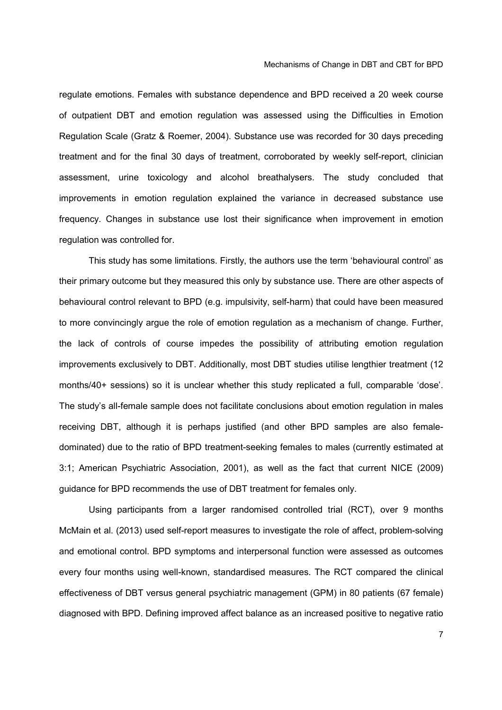regulate emotions. Females with substance dependence and BPD received a 20 week course of outpatient DBT and emotion regulation was assessed using the Difficulties in Emotion Regulation Scale (Gratz & Roemer, 2004). Substance use was recorded for 30 days preceding treatment and for the final 30 days of treatment, corroborated by weekly self-report, clinician assessment, urine toxicology and alcohol breathalysers. The study concluded that improvements in emotion regulation explained the variance in decreased substance use frequency. Changes in substance use lost their significance when improvement in emotion regulation was controlled for.

This study has some limitations. Firstly, the authors use the term 'behavioural control' as their primary outcome but they measured this only by substance use. There are other aspects of behavioural control relevant to BPD (e.g. impulsivity, self-harm) that could have been measured to more convincingly argue the role of emotion regulation as a mechanism of change. Further, the lack of controls of course impedes the possibility of attributing emotion regulation improvements exclusively to DBT. Additionally, most DBT studies utilise lengthier treatment (12 months/40+ sessions) so it is unclear whether this study replicated a full, comparable 'dose'. The study's all-female sample does not facilitate conclusions about emotion regulation in males receiving DBT, although it is perhaps justified (and other BPD samples are also femaledominated) due to the ratio of BPD treatment-seeking females to males (currently estimated at 3:1; American Psychiatric Association, 2001), as well as the fact that current NICE (2009) guidance for BPD recommends the use of DBT treatment for females only.

Using participants from a larger randomised controlled trial (RCT), over 9 months McMain et al. (2013) used self-report measures to investigate the role of affect, problem-solving and emotional control. BPD symptoms and interpersonal function were assessed as outcomes every four months using well-known, standardised measures. The RCT compared the clinical effectiveness of DBT versus general psychiatric management (GPM) in 80 patients (67 female) diagnosed with BPD. Defining improved affect balance as an increased positive to negative ratio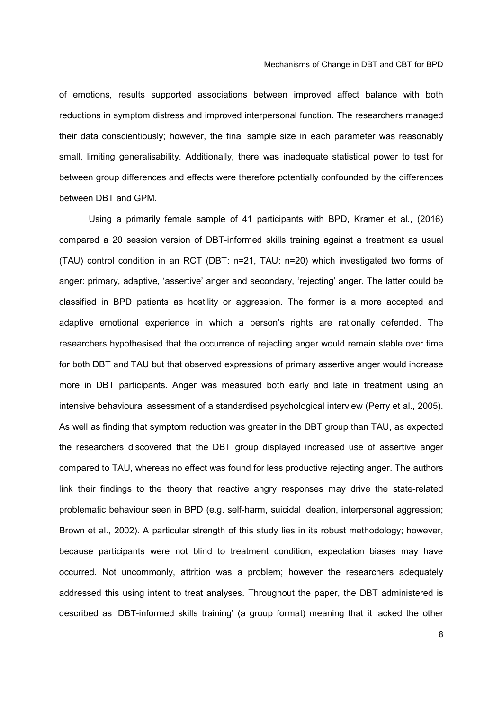of emotions, results supported associations between improved affect balance with both reductions in symptom distress and improved interpersonal function. The researchers managed their data conscientiously; however, the final sample size in each parameter was reasonably small, limiting generalisability. Additionally, there was inadequate statistical power to test for between group differences and effects were therefore potentially confounded by the differences between DBT and GPM.

Using a primarily female sample of 41 participants with BPD, Kramer et al., (2016) compared a 20 session version of DBT-informed skills training against a treatment as usual (TAU) control condition in an RCT (DBT: n=21, TAU: n=20) which investigated two forms of anger: primary, adaptive, 'assertive' anger and secondary, 'rejecting' anger. The latter could be classified in BPD patients as hostility or aggression. The former is a more accepted and adaptive emotional experience in which a person's rights are rationally defended. The researchers hypothesised that the occurrence of rejecting anger would remain stable over time for both DBT and TAU but that observed expressions of primary assertive anger would increase more in DBT participants. Anger was measured both early and late in treatment using an intensive behavioural assessment of a standardised psychological interview (Perry et al., 2005). As well as finding that symptom reduction was greater in the DBT group than TAU, as expected the researchers discovered that the DBT group displayed increased use of assertive anger compared to TAU, whereas no effect was found for less productive rejecting anger. The authors link their findings to the theory that reactive angry responses may drive the state-related problematic behaviour seen in BPD (e.g. self-harm, suicidal ideation, interpersonal aggression; Brown et al., 2002). A particular strength of this study lies in its robust methodology; however, because participants were not blind to treatment condition, expectation biases may have occurred. Not uncommonly, attrition was a problem; however the researchers adequately addressed this using intent to treat analyses. Throughout the paper, the DBT administered is described as 'DBT-informed skills training' (a group format) meaning that it lacked the other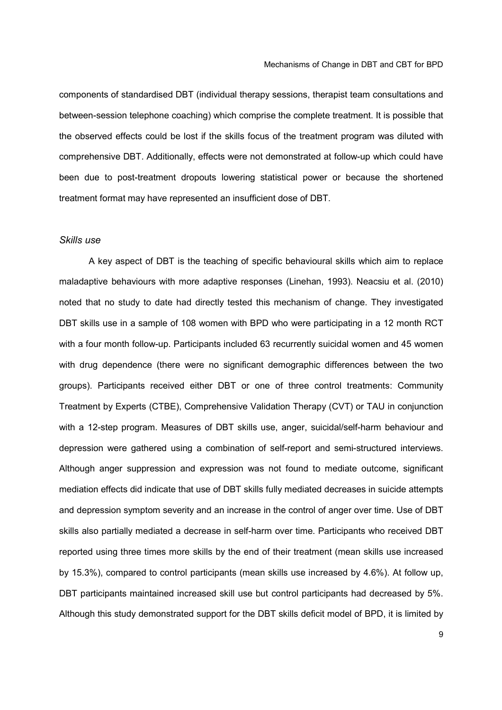components of standardised DBT (individual therapy sessions, therapist team consultations and between-session telephone coaching) which comprise the complete treatment. It is possible that the observed effects could be lost if the skills focus of the treatment program was diluted with comprehensive DBT. Additionally, effects were not demonstrated at follow-up which could have been due to post-treatment dropouts lowering statistical power or because the shortened treatment format may have represented an insufficient dose of DBT.

#### *Skills use*

A key aspect of DBT is the teaching of specific behavioural skills which aim to replace maladaptive behaviours with more adaptive responses (Linehan, 1993). Neacsiu et al. (2010) noted that no study to date had directly tested this mechanism of change. They investigated DBT skills use in a sample of 108 women with BPD who were participating in a 12 month RCT with a four month follow-up. Participants included 63 recurrently suicidal women and 45 women with drug dependence (there were no significant demographic differences between the two groups). Participants received either DBT or one of three control treatments: Community Treatment by Experts (CTBE), Comprehensive Validation Therapy (CVT) or TAU in conjunction with a 12-step program. Measures of DBT skills use, anger, suicidal/self-harm behaviour and depression were gathered using a combination of self-report and semi-structured interviews. Although anger suppression and expression was not found to mediate outcome, significant mediation effects did indicate that use of DBT skills fully mediated decreases in suicide attempts and depression symptom severity and an increase in the control of anger over time. Use of DBT skills also partially mediated a decrease in self-harm over time. Participants who received DBT reported using three times more skills by the end of their treatment (mean skills use increased by 15.3%), compared to control participants (mean skills use increased by 4.6%). At follow up, DBT participants maintained increased skill use but control participants had decreased by 5%. Although this study demonstrated support for the DBT skills deficit model of BPD, it is limited by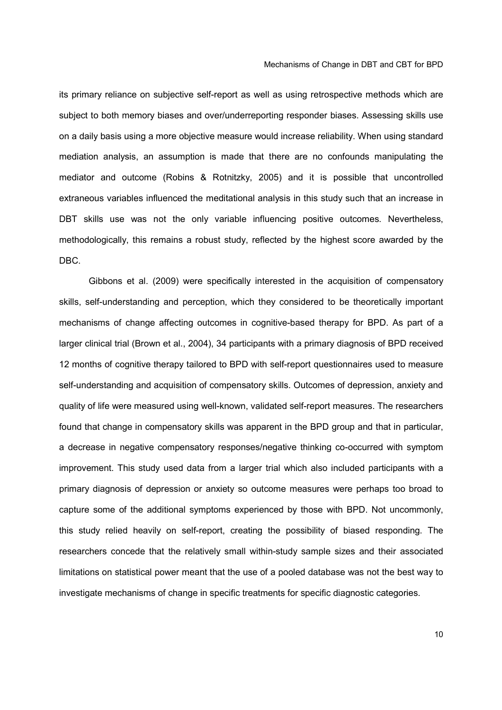its primary reliance on subjective self-report as well as using retrospective methods which are subject to both memory biases and over/underreporting responder biases. Assessing skills use on a daily basis using a more objective measure would increase reliability. When using standard mediation analysis, an assumption is made that there are no confounds manipulating the mediator and outcome (Robins & Rotnitzky, 2005) and it is possible that uncontrolled extraneous variables influenced the meditational analysis in this study such that an increase in DBT skills use was not the only variable influencing positive outcomes. Nevertheless, methodologically, this remains a robust study, reflected by the highest score awarded by the DBC.

Gibbons et al. (2009) were specifically interested in the acquisition of compensatory skills, self-understanding and perception, which they considered to be theoretically important mechanisms of change affecting outcomes in cognitive-based therapy for BPD. As part of a larger clinical trial (Brown et al., 2004), 34 participants with a primary diagnosis of BPD received 12 months of cognitive therapy tailored to BPD with self-report questionnaires used to measure self-understanding and acquisition of compensatory skills. Outcomes of depression, anxiety and quality of life were measured using well-known, validated self-report measures. The researchers found that change in compensatory skills was apparent in the BPD group and that in particular, a decrease in negative compensatory responses/negative thinking co-occurred with symptom improvement. This study used data from a larger trial which also included participants with a primary diagnosis of depression or anxiety so outcome measures were perhaps too broad to capture some of the additional symptoms experienced by those with BPD. Not uncommonly, this study relied heavily on self-report, creating the possibility of biased responding. The researchers concede that the relatively small within-study sample sizes and their associated limitations on statistical power meant that the use of a pooled database was not the best way to investigate mechanisms of change in specific treatments for specific diagnostic categories.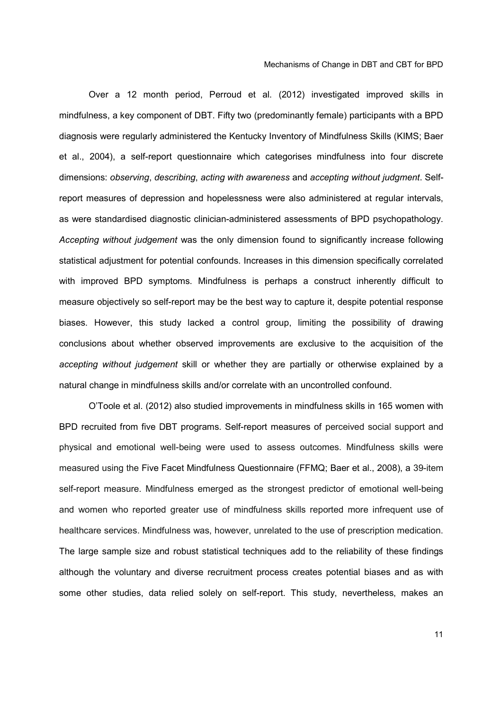Over a 12 month period, Perroud et al. (2012) investigated improved skills in mindfulness, a key component of DBT. Fifty two (predominantly female) participants with a BPD diagnosis were regularly administered the Kentucky Inventory of Mindfulness Skills (KIMS; Baer et al., 2004), a self-report questionnaire which categorises mindfulness into four discrete dimensions: *observing*, *describing*, *acting with awareness* and *accepting without judgment*. Selfreport measures of depression and hopelessness were also administered at regular intervals, as were standardised diagnostic clinician-administered assessments of BPD psychopathology. *Accepting without judgement* was the only dimension found to significantly increase following statistical adjustment for potential confounds. Increases in this dimension specifically correlated with improved BPD symptoms. Mindfulness is perhaps a construct inherently difficult to measure objectively so self-report may be the best way to capture it, despite potential response biases. However, this study lacked a control group, limiting the possibility of drawing conclusions about whether observed improvements are exclusive to the acquisition of the *accepting without judgement* skill or whether they are partially or otherwise explained by a natural change in mindfulness skills and/or correlate with an uncontrolled confound.

O'Toole et al. (2012) also studied improvements in mindfulness skills in 165 women with BPD recruited from five DBT programs. Self-report measures of perceived social support and physical and emotional well-being were used to assess outcomes. Mindfulness skills were measured using the Five Facet Mindfulness Questionnaire (FFMQ; Baer et al., 2008), a 39-item self-report measure. Mindfulness emerged as the strongest predictor of emotional well-being and women who reported greater use of mindfulness skills reported more infrequent use of healthcare services. Mindfulness was, however, unrelated to the use of prescription medication. The large sample size and robust statistical techniques add to the reliability of these findings although the voluntary and diverse recruitment process creates potential biases and as with some other studies, data relied solely on self-report. This study, nevertheless, makes an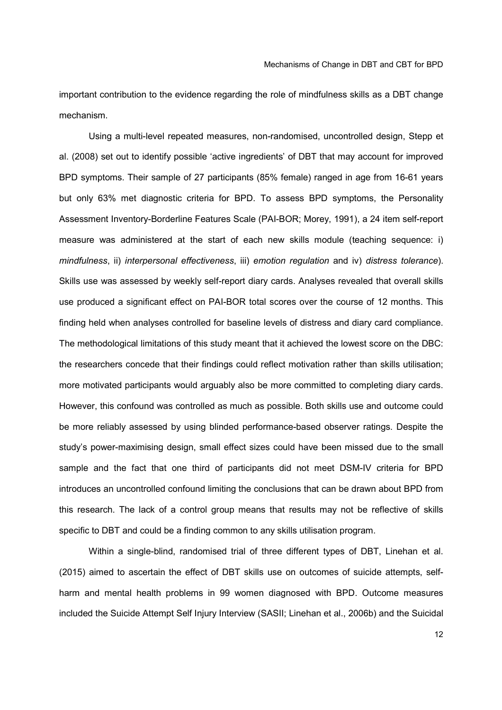important contribution to the evidence regarding the role of mindfulness skills as a DBT change mechanism.

Using a multi-level repeated measures, non-randomised, uncontrolled design, Stepp et al. (2008) set out to identify possible 'active ingredients' of DBT that may account for improved BPD symptoms. Their sample of 27 participants (85% female) ranged in age from 16-61 years but only 63% met diagnostic criteria for BPD. To assess BPD symptoms, the Personality Assessment Inventory-Borderline Features Scale (PAI-BOR; Morey, 1991), a 24 item self-report measure was administered at the start of each new skills module (teaching sequence: i) *mindfulness*, ii) *interpersonal effectiveness*, iii) *emotion regulation* and iv) *distress tolerance*). Skills use was assessed by weekly self-report diary cards. Analyses revealed that overall skills use produced a significant effect on PAI-BOR total scores over the course of 12 months. This finding held when analyses controlled for baseline levels of distress and diary card compliance. The methodological limitations of this study meant that it achieved the lowest score on the DBC: the researchers concede that their findings could reflect motivation rather than skills utilisation; more motivated participants would arguably also be more committed to completing diary cards. However, this confound was controlled as much as possible. Both skills use and outcome could be more reliably assessed by using blinded performance-based observer ratings. Despite the study's power-maximising design, small effect sizes could have been missed due to the small sample and the fact that one third of participants did not meet DSM-IV criteria for BPD introduces an uncontrolled confound limiting the conclusions that can be drawn about BPD from this research. The lack of a control group means that results may not be reflective of skills specific to DBT and could be a finding common to any skills utilisation program.

Within a single-blind, randomised trial of three different types of DBT, Linehan et al. (2015) aimed to ascertain the effect of DBT skills use on outcomes of suicide attempts, selfharm and mental health problems in 99 women diagnosed with BPD. Outcome measures included the Suicide Attempt Self Injury Interview (SASII; Linehan et al., 2006b) and the Suicidal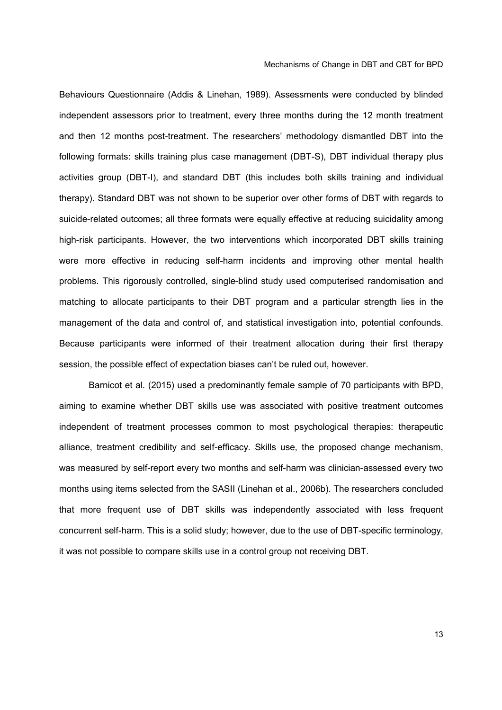Behaviours Questionnaire (Addis & Linehan, 1989). Assessments were conducted by blinded independent assessors prior to treatment, every three months during the 12 month treatment and then 12 months post-treatment. The researchers' methodology dismantled DBT into the following formats: skills training plus case management (DBT-S), DBT individual therapy plus activities group (DBT-I), and standard DBT (this includes both skills training and individual therapy). Standard DBT was not shown to be superior over other forms of DBT with regards to suicide-related outcomes; all three formats were equally effective at reducing suicidality among high-risk participants. However, the two interventions which incorporated DBT skills training were more effective in reducing self-harm incidents and improving other mental health problems. This rigorously controlled, single-blind study used computerised randomisation and matching to allocate participants to their DBT program and a particular strength lies in the management of the data and control of, and statistical investigation into, potential confounds. Because participants were informed of their treatment allocation during their first therapy session, the possible effect of expectation biases can't be ruled out, however.

Barnicot et al. (2015) used a predominantly female sample of 70 participants with BPD, aiming to examine whether DBT skills use was associated with positive treatment outcomes independent of treatment processes common to most psychological therapies: therapeutic alliance, treatment credibility and self-efficacy. Skills use, the proposed change mechanism, was measured by self-report every two months and self-harm was clinician-assessed every two months using items selected from the SASII (Linehan et al., 2006b). The researchers concluded that more frequent use of DBT skills was independently associated with less frequent concurrent self-harm. This is a solid study; however, due to the use of DBT-specific terminology, it was not possible to compare skills use in a control group not receiving DBT.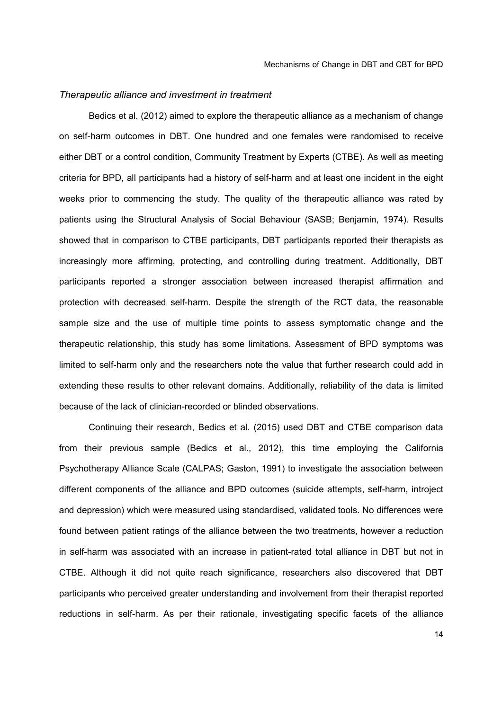#### *Therapeutic alliance and investment in treatment*

Bedics et al. (2012) aimed to explore the therapeutic alliance as a mechanism of change on self-harm outcomes in DBT. One hundred and one females were randomised to receive either DBT or a control condition, Community Treatment by Experts (CTBE). As well as meeting criteria for BPD, all participants had a history of self-harm and at least one incident in the eight weeks prior to commencing the study. The quality of the therapeutic alliance was rated by patients using the Structural Analysis of Social Behaviour (SASB; Benjamin, 1974). Results showed that in comparison to CTBE participants, DBT participants reported their therapists as increasingly more affirming, protecting, and controlling during treatment. Additionally, DBT participants reported a stronger association between increased therapist affirmation and protection with decreased self-harm. Despite the strength of the RCT data, the reasonable sample size and the use of multiple time points to assess symptomatic change and the therapeutic relationship, this study has some limitations. Assessment of BPD symptoms was limited to self-harm only and the researchers note the value that further research could add in extending these results to other relevant domains. Additionally, reliability of the data is limited because of the lack of clinician-recorded or blinded observations.

Continuing their research, Bedics et al. (2015) used DBT and CTBE comparison data from their previous sample (Bedics et al., 2012), this time employing the California Psychotherapy Alliance Scale (CALPAS; Gaston, 1991) to investigate the association between different components of the alliance and BPD outcomes (suicide attempts, self-harm, introject and depression) which were measured using standardised, validated tools. No differences were found between patient ratings of the alliance between the two treatments, however a reduction in self-harm was associated with an increase in patient-rated total alliance in DBT but not in CTBE. Although it did not quite reach significance, researchers also discovered that DBT participants who perceived greater understanding and involvement from their therapist reported reductions in self-harm. As per their rationale, investigating specific facets of the alliance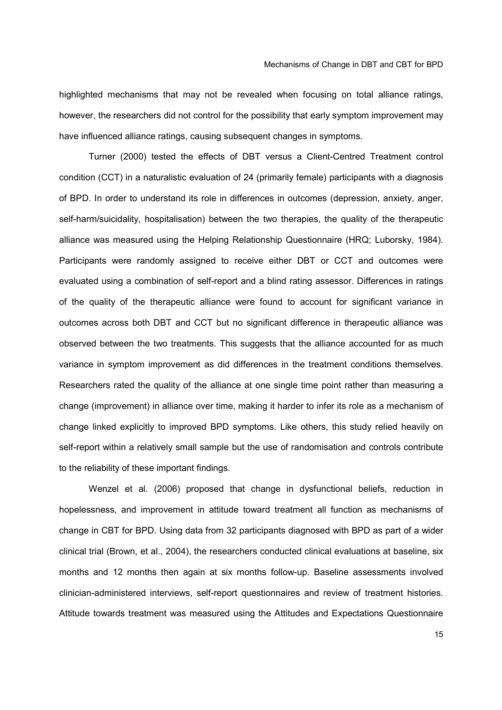highlighted mechanisms that may not be revealed when focusing on total alliance ratings, however, the researchers did not control for the possibility that early symptom improvement may have influenced alliance ratings, causing subsequent changes in symptoms.

Turner (2000) tested the effects of DBT versus a Client-Centred Treatment control condition (CCT) in a naturalistic evaluation of 24 (primarily female) participants with a diagnosis of BPD. In order to understand its role in differences in outcomes (depression, anxiety, anger, self-harm/suicidality, hospitalisation) between the two therapies, the quality of the therapeutic alliance was measured using the Helping Relationship Questionnaire (HRQ; Luborsky, 1984). Participants were randomly assigned to receive either DBT or CCT and outcomes were evaluated using a combination of self-report and a blind rating assessor. Differences in ratings of the quality of the therapeutic alliance were found to account for significant variance in outcomes across both DBT and CCT but no significant difference in therapeutic alliance was observed between the two treatments. This suggests that the alliance accounted for as much variance in symptom improvement as did differences in the treatment conditions themselves. Researchers rated the quality of the alliance at one single time point rather than measuring a change (improvement) in alliance over time, making it harder to infer its role as a mechanism of change linked explicitly to improved BPD symptoms. Like others, this study relied heavily on self-report within a relatively small sample but the use of randomisation and controls contribute to the reliability of these important findings.

Wenzel et al. (2006) proposed that change in dysfunctional beliefs, reduction in hopelessness, and improvement in attitude toward treatment all function as mechanisms of change in CBT for BPD. Using data from 32 participants diagnosed with BPD as part of a wider clinical trial (Brown, et al., 2004), the researchers conducted clinical evaluations at baseline, six months and 12 months then again at six months follow-up. Baseline assessments involved clinician-administered interviews, self-report questionnaires and review of treatment histories. Attitude towards treatment was measured using the Attitudes and Expectations Questionnaire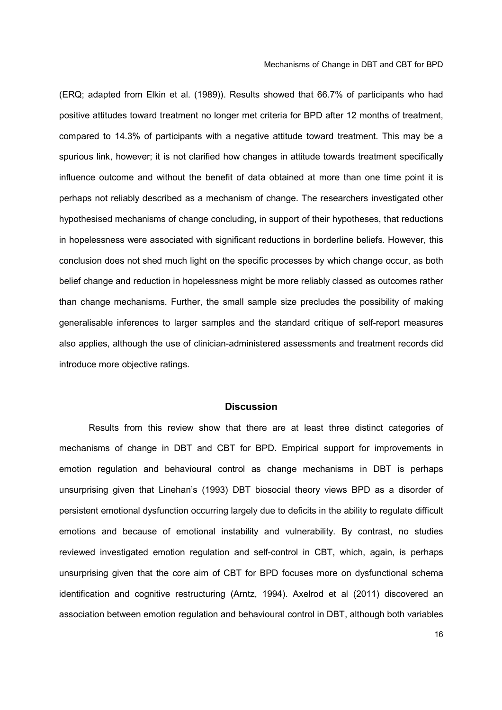(ERQ; adapted from Elkin et al. (1989)). Results showed that 66.7% of participants who had positive attitudes toward treatment no longer met criteria for BPD after 12 months of treatment, compared to 14.3% of participants with a negative attitude toward treatment. This may be a spurious link, however; it is not clarified how changes in attitude towards treatment specifically influence outcome and without the benefit of data obtained at more than one time point it is perhaps not reliably described as a mechanism of change. The researchers investigated other hypothesised mechanisms of change concluding, in support of their hypotheses, that reductions in hopelessness were associated with significant reductions in borderline beliefs. However, this conclusion does not shed much light on the specific processes by which change occur, as both belief change and reduction in hopelessness might be more reliably classed as outcomes rather than change mechanisms. Further, the small sample size precludes the possibility of making generalisable inferences to larger samples and the standard critique of self-report measures also applies, although the use of clinician-administered assessments and treatment records did introduce more objective ratings.

#### **Discussion**

Results from this review show that there are at least three distinct categories of mechanisms of change in DBT and CBT for BPD. Empirical support for improvements in emotion regulation and behavioural control as change mechanisms in DBT is perhaps unsurprising given that Linehan's (1993) DBT biosocial theory views BPD as a disorder of persistent emotional dysfunction occurring largely due to deficits in the ability to regulate difficult emotions and because of emotional instability and vulnerability. By contrast, no studies reviewed investigated emotion regulation and self-control in CBT, which, again, is perhaps unsurprising given that the core aim of CBT for BPD focuses more on dysfunctional schema identification and cognitive restructuring (Arntz, 1994). Axelrod et al (2011) discovered an association between emotion regulation and behavioural control in DBT, although both variables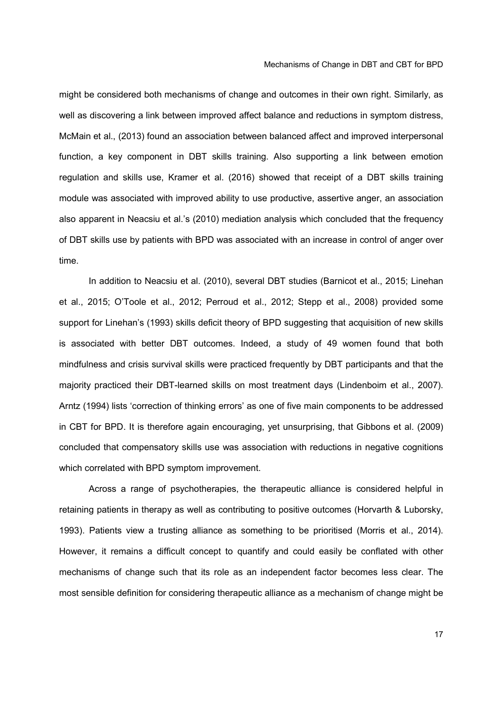might be considered both mechanisms of change and outcomes in their own right. Similarly, as well as discovering a link between improved affect balance and reductions in symptom distress, McMain et al., (2013) found an association between balanced affect and improved interpersonal function, a key component in DBT skills training. Also supporting a link between emotion regulation and skills use, Kramer et al. (2016) showed that receipt of a DBT skills training module was associated with improved ability to use productive, assertive anger, an association also apparent in Neacsiu et al.'s (2010) mediation analysis which concluded that the frequency of DBT skills use by patients with BPD was associated with an increase in control of anger over time.

In addition to Neacsiu et al. (2010), several DBT studies (Barnicot et al., 2015; Linehan et al., 2015; O'Toole et al., 2012; Perroud et al., 2012; Stepp et al., 2008) provided some support for Linehan's (1993) skills deficit theory of BPD suggesting that acquisition of new skills is associated with better DBT outcomes. Indeed, a study of 49 women found that both mindfulness and crisis survival skills were practiced frequently by DBT participants and that the majority practiced their DBT-learned skills on most treatment days (Lindenboim et al., 2007). Arntz (1994) lists 'correction of thinking errors' as one of five main components to be addressed in CBT for BPD. It is therefore again encouraging, yet unsurprising, that Gibbons et al. (2009) concluded that compensatory skills use was association with reductions in negative cognitions which correlated with BPD symptom improvement.

Across a range of psychotherapies, the therapeutic alliance is considered helpful in retaining patients in therapy as well as contributing to positive outcomes (Horvarth & Luborsky, 1993). Patients view a trusting alliance as something to be prioritised (Morris et al., 2014). However, it remains a difficult concept to quantify and could easily be conflated with other mechanisms of change such that its role as an independent factor becomes less clear. The most sensible definition for considering therapeutic alliance as a mechanism of change might be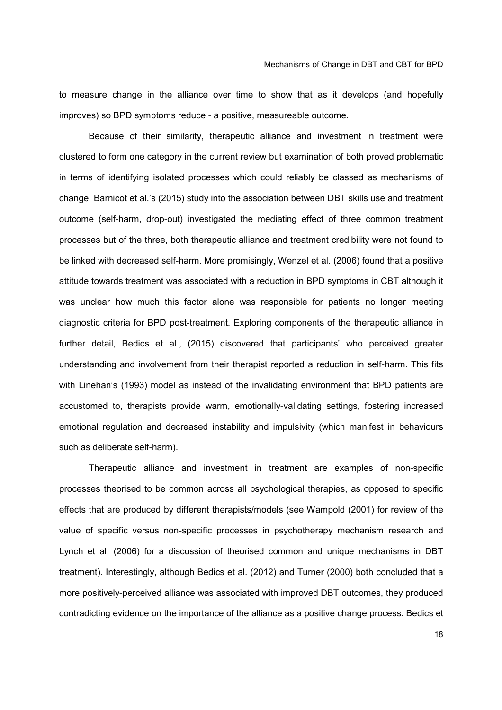to measure change in the alliance over time to show that as it develops (and hopefully improves) so BPD symptoms reduce - a positive, measureable outcome.

Because of their similarity, therapeutic alliance and investment in treatment were clustered to form one category in the current review but examination of both proved problematic in terms of identifying isolated processes which could reliably be classed as mechanisms of change. Barnicot et al.'s (2015) study into the association between DBT skills use and treatment outcome (self-harm, drop-out) investigated the mediating effect of three common treatment processes but of the three, both therapeutic alliance and treatment credibility were not found to be linked with decreased self-harm. More promisingly, Wenzel et al. (2006) found that a positive attitude towards treatment was associated with a reduction in BPD symptoms in CBT although it was unclear how much this factor alone was responsible for patients no longer meeting diagnostic criteria for BPD post-treatment. Exploring components of the therapeutic alliance in further detail, Bedics et al., (2015) discovered that participants' who perceived greater understanding and involvement from their therapist reported a reduction in self-harm. This fits with Linehan's (1993) model as instead of the invalidating environment that BPD patients are accustomed to, therapists provide warm, emotionally-validating settings, fostering increased emotional regulation and decreased instability and impulsivity (which manifest in behaviours such as deliberate self-harm).

Therapeutic alliance and investment in treatment are examples of non-specific processes theorised to be common across all psychological therapies, as opposed to specific effects that are produced by different therapists/models (see Wampold (2001) for review of the value of specific versus non-specific processes in psychotherapy mechanism research and Lynch et al. (2006) for a discussion of theorised common and unique mechanisms in DBT treatment). Interestingly, although Bedics et al. (2012) and Turner (2000) both concluded that a more positively-perceived alliance was associated with improved DBT outcomes, they produced contradicting evidence on the importance of the alliance as a positive change process. Bedics et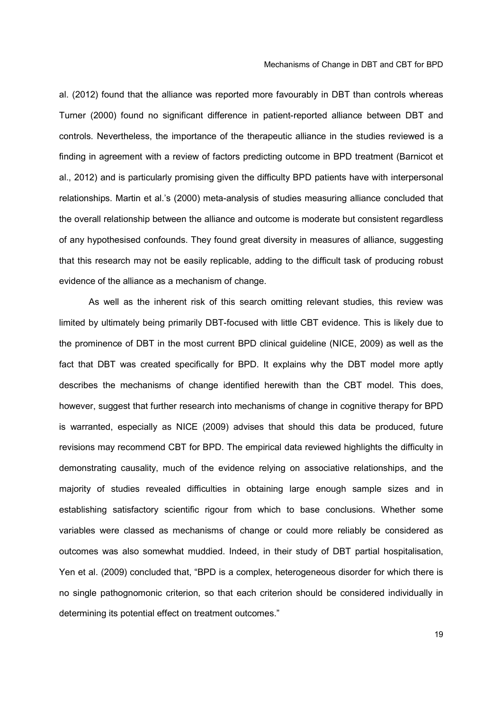al. (2012) found that the alliance was reported more favourably in DBT than controls whereas Turner (2000) found no significant difference in patient-reported alliance between DBT and controls. Nevertheless, the importance of the therapeutic alliance in the studies reviewed is a finding in agreement with a review of factors predicting outcome in BPD treatment (Barnicot et al., 2012) and is particularly promising given the difficulty BPD patients have with interpersonal relationships. Martin et al.'s (2000) meta-analysis of studies measuring alliance concluded that the overall relationship between the alliance and outcome is moderate but consistent regardless of any hypothesised confounds. They found great diversity in measures of alliance, suggesting that this research may not be easily replicable, adding to the difficult task of producing robust evidence of the alliance as a mechanism of change.

As well as the inherent risk of this search omitting relevant studies, this review was limited by ultimately being primarily DBT-focused with little CBT evidence. This is likely due to the prominence of DBT in the most current BPD clinical guideline (NICE, 2009) as well as the fact that DBT was created specifically for BPD. It explains why the DBT model more aptly describes the mechanisms of change identified herewith than the CBT model. This does, however, suggest that further research into mechanisms of change in cognitive therapy for BPD is warranted, especially as NICE (2009) advises that should this data be produced, future revisions may recommend CBT for BPD. The empirical data reviewed highlights the difficulty in demonstrating causality, much of the evidence relying on associative relationships, and the majority of studies revealed difficulties in obtaining large enough sample sizes and in establishing satisfactory scientific rigour from which to base conclusions. Whether some variables were classed as mechanisms of change or could more reliably be considered as outcomes was also somewhat muddied. Indeed, in their study of DBT partial hospitalisation, Yen et al. (2009) concluded that, "BPD is a complex, heterogeneous disorder for which there is no single pathognomonic criterion, so that each criterion should be considered individually in determining its potential effect on treatment outcomes."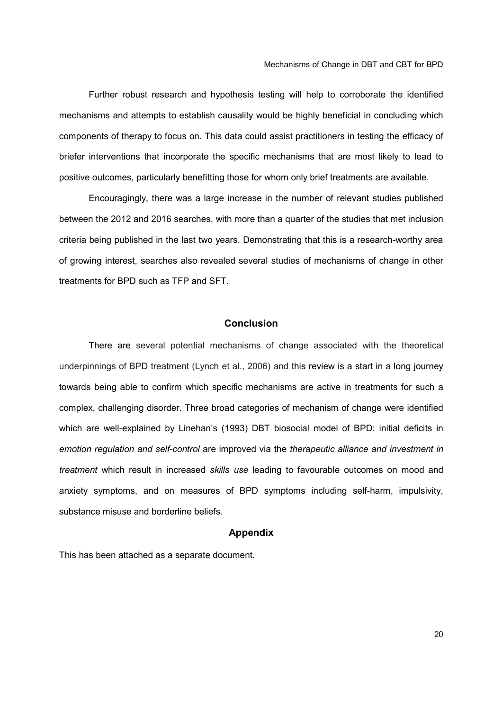Further robust research and hypothesis testing will help to corroborate the identified mechanisms and attempts to establish causality would be highly beneficial in concluding which components of therapy to focus on. This data could assist practitioners in testing the efficacy of briefer interventions that incorporate the specific mechanisms that are most likely to lead to positive outcomes, particularly benefitting those for whom only brief treatments are available.

Encouragingly, there was a large increase in the number of relevant studies published between the 2012 and 2016 searches, with more than a quarter of the studies that met inclusion criteria being published in the last two years. Demonstrating that this is a research-worthy area of growing interest, searches also revealed several studies of mechanisms of change in other treatments for BPD such as TFP and SFT.

#### **Conclusion**

There are several potential mechanisms of change associated with the theoretical underpinnings of BPD treatment (Lynch et al., 2006) and this review is a start in a long journey towards being able to confirm which specific mechanisms are active in treatments for such a complex, challenging disorder. Three broad categories of mechanism of change were identified which are well-explained by Linehan's (1993) DBT biosocial model of BPD: initial deficits in *emotion regulation and self-control* are improved via the *therapeutic alliance and investment in treatment* which result in increased *skills use* leading to favourable outcomes on mood and anxiety symptoms, and on measures of BPD symptoms including self-harm, impulsivity, substance misuse and borderline beliefs.

#### **Appendix**

This has been attached as a separate document.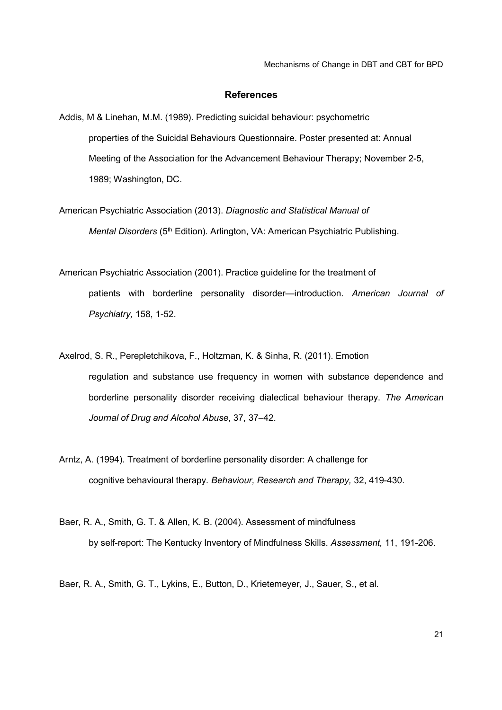#### **References**

- Addis, M & Linehan, M.M. (1989). Predicting suicidal behaviour: psychometric properties of the Suicidal Behaviours Questionnaire. Poster presented at: Annual Meeting of the Association for the Advancement Behaviour Therapy; November 2-5, 1989; Washington, DC.
- American Psychiatric Association (2013). *Diagnostic and Statistical Manual of Mental Disorders* (5<sup>th</sup> Edition). Arlington, VA: American Psychiatric Publishing.
- American Psychiatric Association (2001). Practice guideline for the treatment of patients with borderline personality disorder—introduction. *American Journal of Psychiatry,* 158, 1-52.
- Axelrod, S. R., Perepletchikova, F., Holtzman, K. & Sinha, R. (2011). Emotion regulation and substance use frequency in women with substance dependence and borderline personality disorder receiving dialectical behaviour therapy. *The American Journal of Drug and Alcohol Abuse*, 37, 37–42.
- Arntz, A. (1994). Treatment of borderline personality disorder: A challenge for cognitive behavioural therapy. *Behaviour, Research and Therapy,* 32, 419-430.
- Baer, R. A., Smith, G. T. & Allen, K. B. (2004). Assessment of mindfulness by self-report: The Kentucky Inventory of Mindfulness Skills. *Assessment,* 11, 191-206.

Baer, R. A., Smith, G. T., Lykins, E., Button, D., Krietemeyer, J., Sauer, S., et al.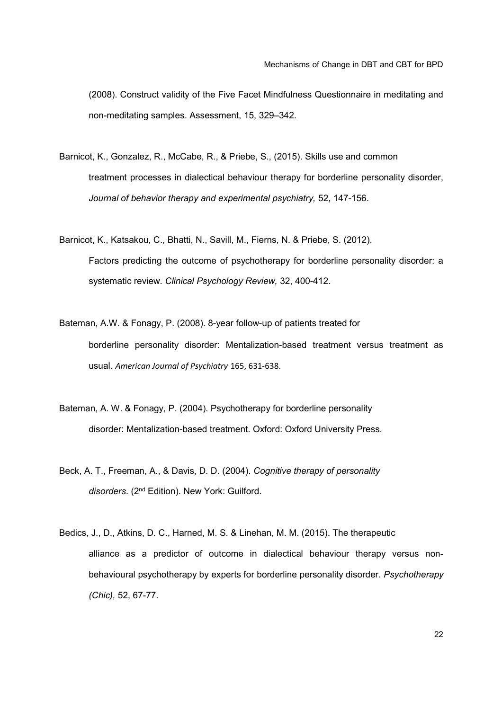(2008). Construct validity of the Five Facet Mindfulness Questionnaire in meditating and non-meditating samples. Assessment, 15, 329–342.

- Barnicot, K., Gonzalez, R., McCabe, R., & Priebe, S., (2015). Skills use and common treatment processes in dialectical behaviour therapy for borderline personality disorder, *Journal of behavior therapy and experimental psychiatry,* 52, 147-156.
- Barnicot, K., Katsakou, C., Bhatti, N., Savill, M., Fierns, N. & Priebe, S. (2012). Factors predicting the outcome of psychotherapy for borderline personality disorder: a systematic review. *Clinical Psychology Review,* 32, 400-412.
- Bateman, A.W. & Fonagy, P. (2008). 8-year follow-up of patients treated for borderline personality disorder: Mentalization-based treatment versus treatment as usual. *American Journal of Psychiatry* 165, 631-638.
- Bateman, A. W. & Fonagy, P. (2004). Psychotherapy for borderline personality disorder: Mentalization-based treatment. Oxford: Oxford University Press.
- Beck, A. T., Freeman, A., & Davis, D. D. (2004). *Cognitive therapy of personality disorders*. (2nd Edition). New York: Guilford.
- Bedics, J., D., Atkins, D. C., Harned, M. S. & Linehan, M. M. (2015). The therapeutic alliance as a predictor of outcome in dialectical behaviour therapy versus nonbehavioural psychotherapy by experts for borderline personality disorder. *Psychotherapy (Chic),* 52, 67-77.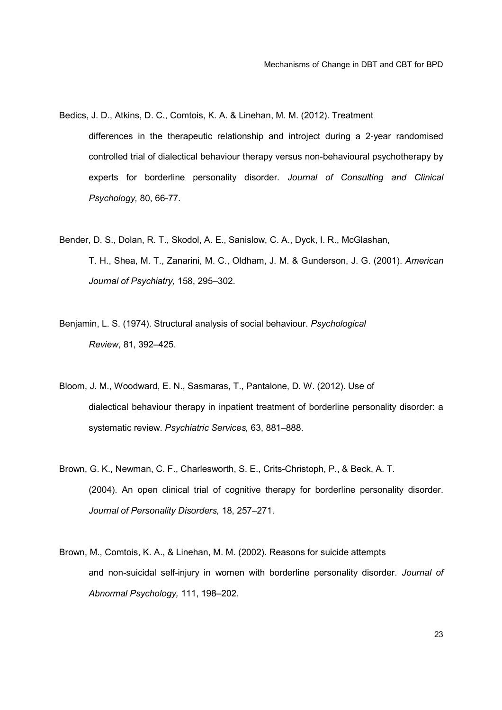Bedics, J. D., Atkins, D. C., Comtois, K. A. & Linehan, M. M. (2012). Treatment

differences in the therapeutic relationship and introject during a 2-year randomised controlled trial of dialectical behaviour therapy versus non-behavioural psychotherapy by experts for borderline personality disorder*. Journal of Consulting and Clinical Psychology,* 80, 66-77.

- Bender, D. S., Dolan, R. T., Skodol, A. E., Sanislow, C. A., Dyck, I. R., McGlashan, T. H., Shea, M. T., Zanarini, M. C., Oldham, J. M. & Gunderson, J. G. (2001). *American Journal of Psychiatry,* 158, 295–302.
- Benjamin, L. S. (1974). Structural analysis of social behaviour. *Psychological Review*, 81, 392–425.
- Bloom, J. M., Woodward, E. N., Sasmaras, T., Pantalone, D. W. (2012). Use of dialectical behaviour therapy in inpatient treatment of borderline personality disorder: a systematic review. *Psychiatric Services,* 63, 881–888.
- Brown, G. K., Newman, C. F., Charlesworth, S. E., Crits-Christoph, P., & Beck, A. T. (2004). An open clinical trial of cognitive therapy for borderline personality disorder. *Journal of Personality Disorders,* 18, 257–271.
- Brown, M., Comtois, K. A., & Linehan, M. M. (2002). Reasons for suicide attempts and non-suicidal self-injury in women with borderline personality disorder. *Journal of Abnormal Psychology,* 111, 198–202.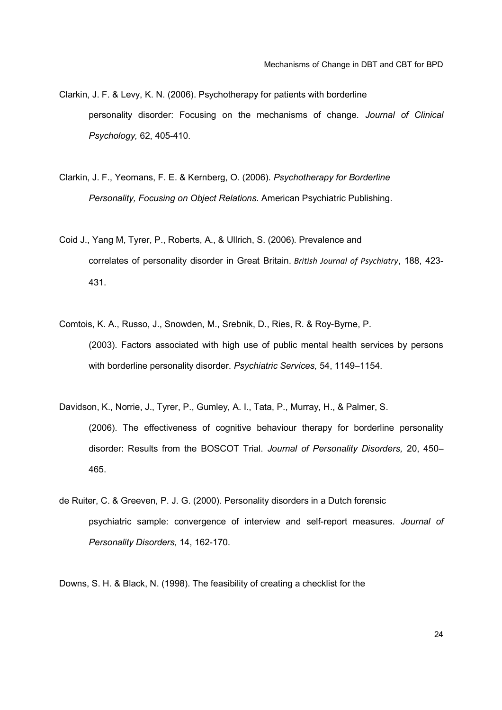Clarkin, J. F. & Levy, K. N. (2006). Psychotherapy for patients with borderline personality disorder: Focusing on the mechanisms of change*. Journal of Clinical Psychology,* 62, 405-410.

- Clarkin, J. F., Yeomans, F. E. & Kernberg, O. (2006). *Psychotherapy for Borderline Personality, Focusing on Object Relations.* American Psychiatric Publishing.
- Coid J., Yang M, Tyrer, P., Roberts, A., & Ullrich, S. (2006). Prevalence and correlates of personality disorder in Great Britain. *British Journal of Psychiatry*, 188, 423- 431.
- Comtois, K. A., Russo, J., Snowden, M., Srebnik, D., Ries, R. & Roy-Byrne, P. (2003). Factors associated with high use of public mental health services by persons with borderline personality disorder. *Psychiatric Services,* 54, 1149–1154.
- Davidson, K., Norrie, J., Tyrer, P., Gumley, A. I., Tata, P., Murray, H., & Palmer, S. (2006). The effectiveness of cognitive behaviour therapy for borderline personality disorder: Results from the BOSCOT Trial. *Journal of Personality Disorders,* 20, 450– 465.
- de Ruiter, C. & Greeven, P. J. G. (2000). Personality disorders in a Dutch forensic psychiatric sample: convergence of interview and self-report measures. *Journal of Personality Disorders,* 14, 162-170.

Downs, S. H. & Black, N. (1998). The feasibility of creating a checklist for the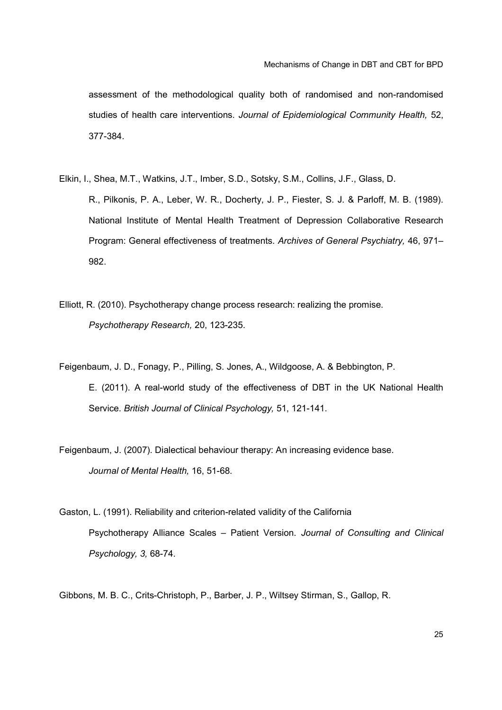assessment of the methodological quality both of randomised and non-randomised studies of health care interventions. *Journal of Epidemiological Community Health,* 52, 377-384.

- Elkin, I., Shea, M.T., Watkins, J.T., Imber, S.D., Sotsky, S.M., Collins, J.F., Glass, D. R., Pilkonis, P. A., Leber, W. R., Docherty, J. P., Fiester, S. J. & Parloff, M. B. (1989). National Institute of Mental Health Treatment of Depression Collaborative Research Program: General effectiveness of treatments. *Archives of General Psychiatry,* 46, 971– 982.
- Elliott, R. (2010). Psychotherapy change process research: realizing the promise. *Psychotherapy Research,* 20, 123-235.
- Feigenbaum, J. D., Fonagy, P., Pilling, S. Jones, A., Wildgoose, A. & Bebbington, P. E. (2011). A real-world study of the effectiveness of DBT in the UK National Health Service. *British Journal of Clinical Psychology,* 51, 121-141.
- Feigenbaum, J. (2007). Dialectical behaviour therapy: An increasing evidence base*. Journal of Mental Health,* 16, 51-68.
- Gaston, L. (1991). Reliability and criterion-related validity of the California Psychotherapy Alliance Scales – Patient Version. *Journal of Consulting and Clinical Psychology, 3,* 68-74.

Gibbons, M. B. C., Crits-Christoph, P., Barber, J. P., Wiltsey Stirman, S., Gallop, R.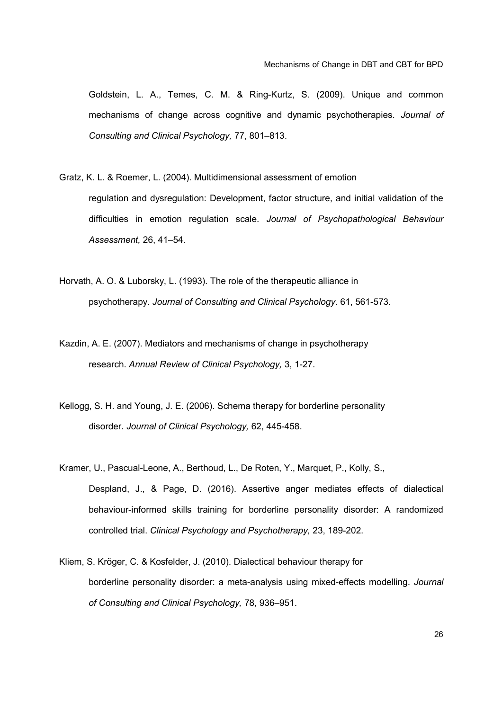Goldstein, L. A., Temes, C. M. & Ring-Kurtz, S. (2009). Unique and common mechanisms of change across cognitive and dynamic psychotherapies. *Journal of Consulting and Clinical Psychology,* 77, 801–813.

- Gratz, K. L. & Roemer, L. (2004). Multidimensional assessment of emotion regulation and dysregulation: Development, factor structure, and initial validation of the difficulties in emotion regulation scale. *Journal of Psychopathological Behaviour Assessment,* 26, 41–54.
- Horvath, A. O. & Luborsky, L. (1993). The role of the therapeutic alliance in psychotherapy. *Journal of Consulting and Clinical Psychology*. 61, 561-573.
- Kazdin, A. E. (2007). Mediators and mechanisms of change in psychotherapy research. *Annual Review of Clinical Psychology,* 3, 1-27.
- Kellogg, S. H. and Young, J. E. (2006). Schema therapy for borderline personality disorder. *Journal of Clinical Psychology,* 62, 445-458.
- Kramer, U., Pascual-Leone, A., Berthoud, L., De Roten, Y., Marquet, P., Kolly, S., Despland, J., & Page, D. (2016). Assertive anger mediates effects of dialectical behaviour-informed skills training for borderline personality disorder: A randomized controlled trial. *Clinical Psychology and Psychotherapy,* 23, 189-202.
- Kliem, S. Kröger, C. & Kosfelder, J. (2010). Dialectical behaviour therapy for borderline personality disorder: a meta-analysis using mixed-effects modelling. *Journal of Consulting and Clinical Psychology,* 78, 936–951.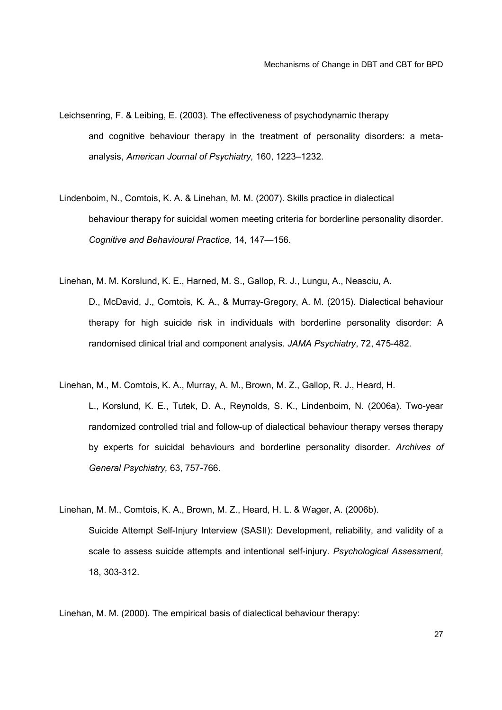- Leichsenring, F. & Leibing, E. (2003). The effectiveness of psychodynamic therapy and cognitive behaviour therapy in the treatment of personality disorders: a metaanalysis, *American Journal of Psychiatry,* 160, 1223–1232.
- Lindenboim, N., Comtois, K. A. & Linehan, M. M. (2007). Skills practice in dialectical behaviour therapy for suicidal women meeting criteria for borderline personality disorder. *Cognitive and Behavioural Practice,* 14, 147—156.
- Linehan, M. M. Korslund, K. E., Harned, M. S., Gallop, R. J., Lungu, A., Neasciu, A. D., McDavid, J., Comtois, K. A., & Murray-Gregory, A. M. (2015). Dialectical behaviour therapy for high suicide risk in individuals with borderline personality disorder: A randomised clinical trial and component analysis. *JAMA Psychiatry*, 72, 475-482.
- Linehan, M., M. Comtois, K. A., Murray, A. M., Brown, M. Z., Gallop, R. J., Heard, H. L., Korslund, K. E., Tutek, D. A., Reynolds, S. K., Lindenboim, N. (2006a). Two-year randomized controlled trial and follow-up of dialectical behaviour therapy verses therapy by experts for suicidal behaviours and borderline personality disorder. *Archives of General Psychiatry,* 63, 757-766.
- Linehan, M. M., Comtois, K. A., Brown, M. Z., Heard, H. L. & Wager, A. (2006b). Suicide Attempt Self-Injury Interview (SASII): Development, reliability, and validity of a scale to assess suicide attempts and intentional self-injury. *Psychological Assessment,* 18, 303-312.

Linehan, M. M. (2000). The empirical basis of dialectical behaviour therapy: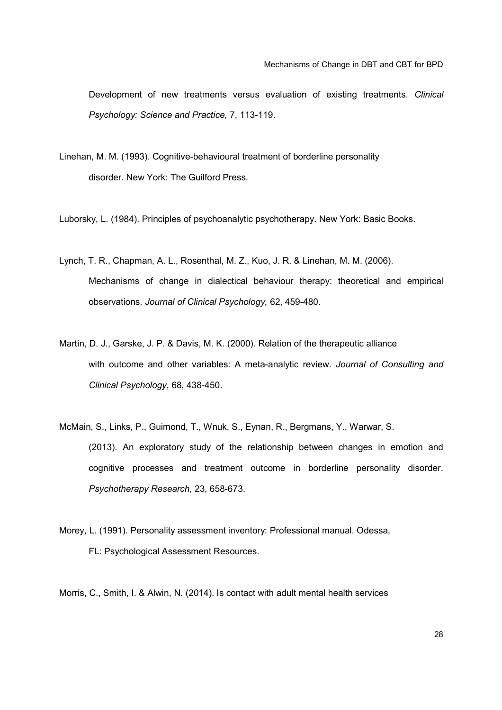Development of new treatments versus evaluation of existing treatments. *Clinical Psychology: Science and Practice,* 7, 113-119.

Linehan, M. M. (1993). Cognitive-behavioural treatment of borderline personality disorder. New York: The Guilford Press.

Luborsky, L. (1984). Principles of psychoanalytic psychotherapy. New York: Basic Books.

- Lynch, T. R., Chapman, A. L., Rosenthal, M. Z., Kuo, J. R. & Linehan, M. M. (2006). Mechanisms of change in dialectical behaviour therapy: theoretical and empirical observations. *Journal of Clinical Psychology,* 62, 459-480.
- Martin, D. J., Garske, J. P. & Davis, M. K. (2000). Relation of the therapeutic alliance with outcome and other variables: A meta-analytic review. *Journal of Consulting and Clinical Psychology*, 68, 438-450.
- McMain, S., Links, P., Guimond, T., Wnuk, S., Eynan, R., Bergmans, Y., Warwar, S. (2013). An exploratory study of the relationship between changes in emotion and cognitive processes and treatment outcome in borderline personality disorder. *Psychotherapy Research,* 23, 658-673.
- Morey, L. (1991). Personality assessment inventory: Professional manual. Odessa, FL: Psychological Assessment Resources.

Morris, C., Smith, I. & Alwin, N. (2014). Is contact with adult mental health services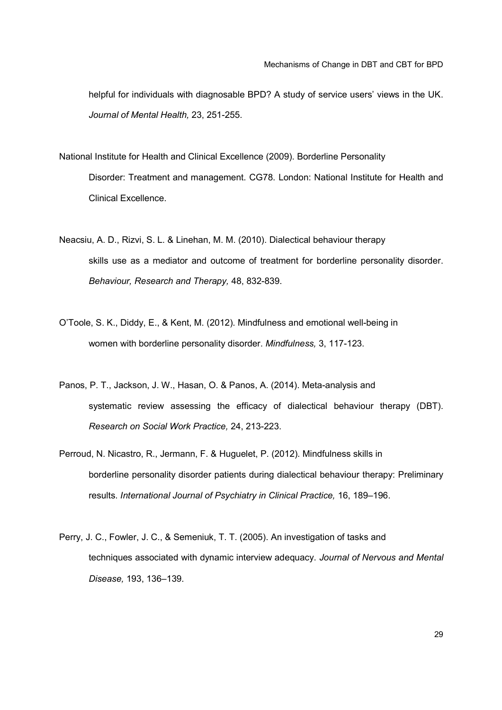helpful for individuals with diagnosable BPD? A study of service users' views in the UK. *Journal of Mental Health,* 23, 251-255.

National Institute for Health and Clinical Excellence (2009). Borderline Personality Disorder: Treatment and management. CG78. London: National Institute for Health and Clinical Excellence.

- Neacsiu, A. D., Rizvi, S. L. & Linehan, M. M. (2010). Dialectical behaviour therapy skills use as a mediator and outcome of treatment for borderline personality disorder. *Behaviour, Research and Therapy,* 48, 832-839.
- O'Toole, S. K., Diddy, E., & Kent, M. (2012). Mindfulness and emotional well-being in women with borderline personality disorder. *Mindfulness,* 3, 117-123.
- Panos, P. T., Jackson, J. W., Hasan, O. & Panos, A. (2014). Meta-analysis and systematic review assessing the efficacy of dialectical behaviour therapy (DBT). *Research on Social Work Practice,* 24, 213-223.
- Perroud, N. Nicastro, R., Jermann, F. & Huguelet, P. (2012). Mindfulness skills in borderline personality disorder patients during dialectical behaviour therapy: Preliminary results. *International Journal of Psychiatry in Clinical Practice,* 16, 189–196.
- Perry, J. C., Fowler, J. C., & Semeniuk, T. T. (2005). An investigation of tasks and techniques associated with dynamic interview adequacy. *Journal of Nervous and Mental Disease,* 193, 136–139.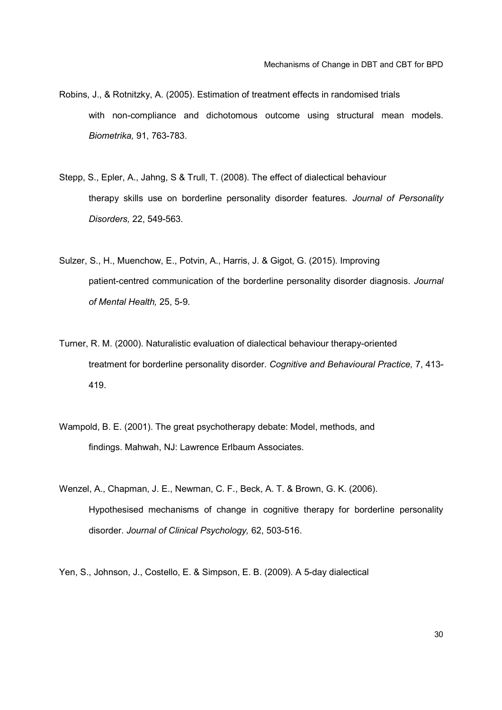- Robins, J., & Rotnitzky, A. (2005). Estimation of treatment effects in randomised trials with non-compliance and dichotomous outcome using structural mean models. *Biometrika,* 91, 763-783.
- Stepp, S., Epler, A., Jahng, S & Trull, T. (2008). The effect of dialectical behaviour therapy skills use on borderline personality disorder features. *Journal of Personality Disorders,* 22, 549-563.
- Sulzer, S., H., Muenchow, E., Potvin, A., Harris, J. & Gigot, G. (2015). Improving patient-centred communication of the borderline personality disorder diagnosis. *Journal of Mental Health,* 25, 5-9.
- Turner, R. M. (2000). Naturalistic evaluation of dialectical behaviour therapy-oriented treatment for borderline personality disorder. *Cognitive and Behavioural Practice,* 7, 413- 419.
- Wampold, B. E. (2001). The great psychotherapy debate: Model, methods, and findings. Mahwah, NJ: Lawrence Erlbaum Associates.
- Wenzel, A., Chapman, J. E., Newman, C. F., Beck, A. T. & Brown, G. K. (2006). Hypothesised mechanisms of change in cognitive therapy for borderline personality disorder. *Journal of Clinical Psychology,* 62, 503-516.

Yen, S., Johnson, J., Costello, E. & Simpson, E. B. (2009). A 5-day dialectical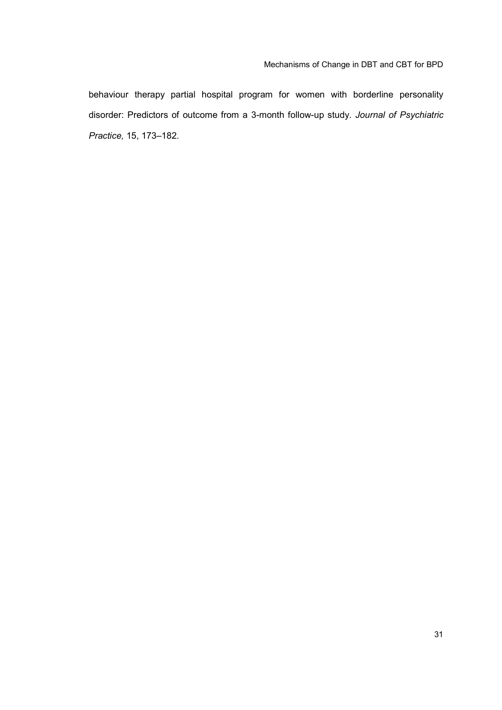behaviour therapy partial hospital program for women with borderline personality disorder: Predictors of outcome from a 3-month follow-up study. *Journal of Psychiatric Practice,* 15, 173–182.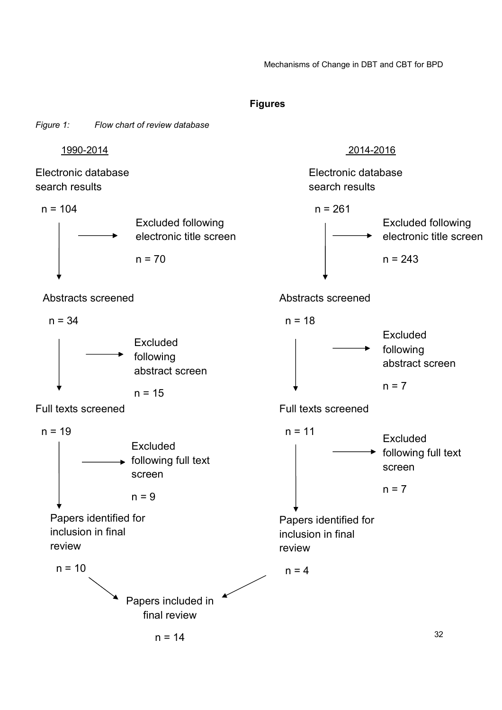#### **Figures**

*Figure 1: Flow chart of review database*

Electronic database search results



Abstracts screened

 $n = 34$ 



Full texts screened

 $n = 19$ 



Papers identified for inclusion in final review



# 1990-2014 2014-2016

Electronic database search results

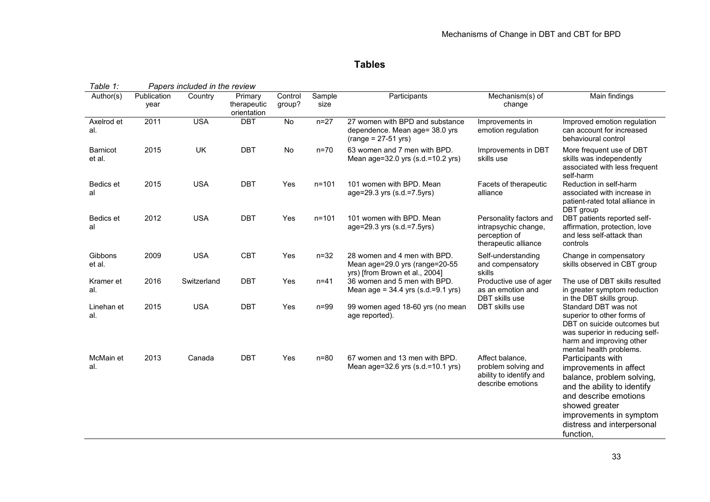# **Tables**

| Table 1:                  |                     | Papers included in the review |                                       |                   |                |                                                                                                  |                                                                                          |                                                                                                                                                                                                                          |  |
|---------------------------|---------------------|-------------------------------|---------------------------------------|-------------------|----------------|--------------------------------------------------------------------------------------------------|------------------------------------------------------------------------------------------|--------------------------------------------------------------------------------------------------------------------------------------------------------------------------------------------------------------------------|--|
| $\overline{A}$ uthor(s)   | Publication<br>year | Country                       | Primary<br>therapeutic<br>orientation | Control<br>group? | Sample<br>size | Participants                                                                                     | Mechanism(s) of<br>change                                                                | Main findings                                                                                                                                                                                                            |  |
| Axelrod et<br>al.         | 2011                | <b>USA</b>                    | <b>DBT</b>                            | $\overline{N}$    | $n=27$         | 27 women with BPD and substance<br>dependence. Mean age= 38.0 yrs<br>$(range = 27-51 yrs)$       | Improvements in<br>emotion regulation                                                    | Improved emotion regulation<br>can account for increased<br>behavioural control                                                                                                                                          |  |
| <b>Barnicot</b><br>et al. | 2015                | <b>UK</b>                     | <b>DBT</b>                            | No                | $n=70$         | 63 women and 7 men with BPD.<br>Mean age=32.0 yrs (s.d.=10.2 yrs)                                | Improvements in DBT<br>skills use                                                        | More frequent use of DBT<br>skills was independently<br>associated with less frequent<br>self-harm                                                                                                                       |  |
| Bedics et<br>al           | 2015                | <b>USA</b>                    | <b>DBT</b>                            | Yes               | $n = 101$      | 101 women with BPD. Mean<br>age=29.3 yrs (s.d.=7.5yrs)                                           | Facets of therapeutic<br>alliance                                                        | Reduction in self-harm<br>associated with increase in<br>patient-rated total alliance in<br>DBT group                                                                                                                    |  |
| Bedics et<br>al           | 2012                | <b>USA</b>                    | <b>DBT</b>                            | Yes               | $n = 101$      | 101 women with BPD. Mean<br>age=29.3 yrs (s.d.=7.5yrs)                                           | Personality factors and<br>intrapsychic change,<br>perception of<br>therapeutic alliance | DBT patients reported self-<br>affirmation, protection, love<br>and less self-attack than<br>controls                                                                                                                    |  |
| Gibbons<br>et al.         | 2009                | <b>USA</b>                    | <b>CBT</b>                            | Yes               | $n=32$         | 28 women and 4 men with BPD.<br>Mean age=29.0 yrs (range=20-55<br>yrs) [from Brown et al., 2004] | Self-understanding<br>and compensatory<br>skills                                         | Change in compensatory<br>skills observed in CBT group                                                                                                                                                                   |  |
| Kramer et<br>al.          | 2016                | Switzerland                   | <b>DBT</b>                            | Yes               | $n = 41$       | 36 women and 5 men with BPD.<br>Mean age = $34.4$ yrs (s.d.=9.1 yrs)                             | Productive use of ager<br>as an emotion and<br><b>DBT</b> skills use                     | The use of DBT skills resulted<br>in greater symptom reduction<br>in the DBT skills group.                                                                                                                               |  |
| Linehan et<br>al.         | 2015                | <b>USA</b>                    | <b>DBT</b>                            | Yes               | $n = 99$       | 99 women aged 18-60 yrs (no mean<br>age reported).                                               | DBT skills use                                                                           | Standard DBT was not<br>superior to other forms of<br>DBT on suicide outcomes but<br>was superior in reducing self-<br>harm and improving other<br>mental health problems.                                               |  |
| McMain et<br>al.          | 2013                | Canada                        | <b>DBT</b>                            | Yes               | $n=80$         | 67 women and 13 men with BPD.<br>Mean age=32.6 yrs (s.d.=10.1 yrs)                               | Affect balance.<br>problem solving and<br>ability to identify and<br>describe emotions   | Participants with<br>improvements in affect<br>balance, problem solving,<br>and the ability to identify<br>and describe emotions<br>showed greater<br>improvements in symptom<br>distress and interpersonal<br>function, |  |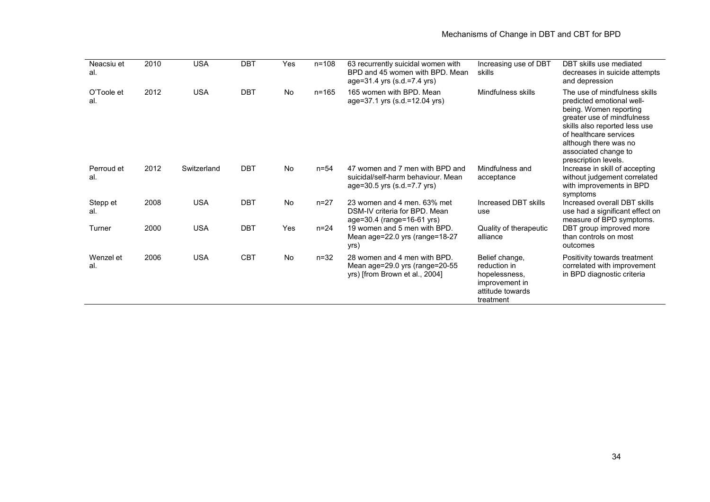| Neacsiu et<br>al. | 2010 | <b>USA</b>  | <b>DBT</b> | Yes       | $n = 108$ | 63 recurrently suicidal women with<br>BPD and 45 women with BPD. Mean<br>age=31.4 yrs (s.d.=7.4 yrs) | Increasing use of DBT<br>skills                                                                    | DBT skills use mediated<br>decreases in suicide attempts<br>and depression                                                                                                                                                                             |
|-------------------|------|-------------|------------|-----------|-----------|------------------------------------------------------------------------------------------------------|----------------------------------------------------------------------------------------------------|--------------------------------------------------------------------------------------------------------------------------------------------------------------------------------------------------------------------------------------------------------|
| O'Toole et<br>al. | 2012 | <b>USA</b>  | <b>DBT</b> | No.       | $n = 165$ | 165 women with BPD. Mean<br>age=37.1 yrs (s.d.=12.04 yrs)                                            | Mindfulness skills                                                                                 | The use of mindfulness skills<br>predicted emotional well-<br>being. Women reporting<br>greater use of mindfulness<br>skills also reported less use<br>of healthcare services<br>although there was no<br>associated change to<br>prescription levels. |
| Perroud et<br>al. | 2012 | Switzerland | <b>DBT</b> | <b>No</b> | $n = 54$  | 47 women and 7 men with BPD and<br>suicidal/self-harm behaviour. Mean<br>age=30.5 yrs (s.d.=7.7 yrs) | Mindfulness and<br>acceptance                                                                      | Increase in skill of accepting<br>without judgement correlated<br>with improvements in BPD<br>symptoms                                                                                                                                                 |
| Stepp et<br>al.   | 2008 | <b>USA</b>  | <b>DBT</b> | <b>No</b> | $n = 27$  | 23 women and 4 men, 63% met<br>DSM-IV criteria for BPD. Mean<br>age=30.4 (range=16-61 yrs)           | Increased DBT skills<br>use                                                                        | Increased overall DBT skills<br>use had a significant effect on<br>measure of BPD symptoms.                                                                                                                                                            |
| Turner            | 2000 | <b>USA</b>  | <b>DBT</b> | Yes       | $n = 24$  | 19 women and 5 men with BPD.<br>Mean age=22.0 yrs (range=18-27<br>yrs)                               | Quality of therapeutic<br>alliance                                                                 | DBT group improved more<br>than controls on most<br>outcomes                                                                                                                                                                                           |
| Wenzel et<br>al.  | 2006 | <b>USA</b>  | <b>CBT</b> | No.       | $n = 32$  | 28 women and 4 men with BPD.<br>Mean age=29.0 yrs (range=20-55<br>yrs) [from Brown et al., 2004]     | Belief change,<br>reduction in<br>hopelessness,<br>improvement in<br>attitude towards<br>treatment | Positivity towards treatment<br>correlated with improvement<br>in BPD diagnostic criteria                                                                                                                                                              |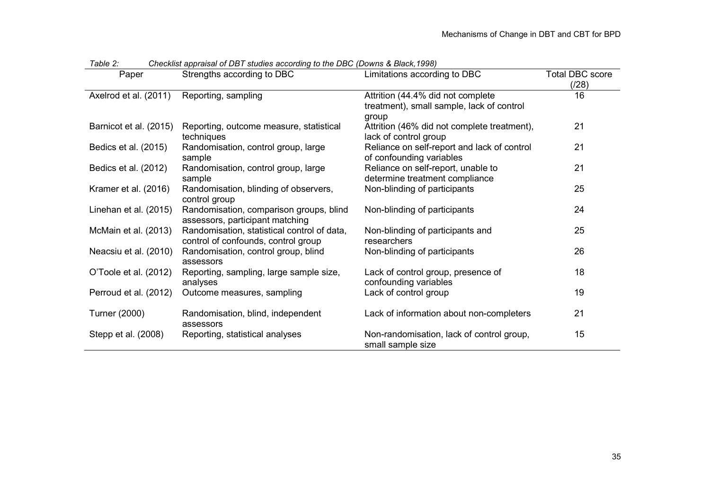| Paper                  | Strengths according to DBC                                                         | Limitations according to DBC                                                            | <b>Total DBC score</b><br>(128) |
|------------------------|------------------------------------------------------------------------------------|-----------------------------------------------------------------------------------------|---------------------------------|
| Axelrod et al. (2011)  | Reporting, sampling                                                                | Attrition (44.4% did not complete<br>treatment), small sample, lack of control<br>group | 16                              |
| Barnicot et al. (2015) | Reporting, outcome measure, statistical<br>techniques                              | Attrition (46% did not complete treatment),<br>lack of control group                    | 21                              |
| Bedics et al. (2015)   | Randomisation, control group, large<br>sample                                      | Reliance on self-report and lack of control<br>of confounding variables                 | 21                              |
| Bedics et al. (2012)   | Randomisation, control group, large<br>sample                                      | Reliance on self-report, unable to<br>determine treatment compliance                    | 21                              |
| Kramer et al. (2016)   | Randomisation, blinding of observers,<br>control group                             | Non-blinding of participants                                                            | 25                              |
| Linehan et al. (2015)  | Randomisation, comparison groups, blind<br>assessors, participant matching         | Non-blinding of participants                                                            | 24                              |
| McMain et al. (2013)   | Randomisation, statistical control of data,<br>control of confounds, control group | Non-blinding of participants and<br>researchers                                         | 25                              |
| Neacsiu et al. (2010)  | Randomisation, control group, blind<br>assessors                                   | Non-blinding of participants                                                            | 26                              |
| O'Toole et al. (2012)  | Reporting, sampling, large sample size,<br>analyses                                | Lack of control group, presence of<br>confounding variables                             | 18                              |
| Perroud et al. (2012)  | Outcome measures, sampling                                                         | Lack of control group                                                                   | 19                              |
| Turner (2000)          | Randomisation, blind, independent<br>assessors                                     | Lack of information about non-completers                                                | 21                              |
| Stepp et al. (2008)    | Reporting, statistical analyses                                                    | Non-randomisation, lack of control group,<br>small sample size                          | 15                              |

*Table 2: Checklist appraisal of DBT studies according to the DBC (Downs & Black,1998)*